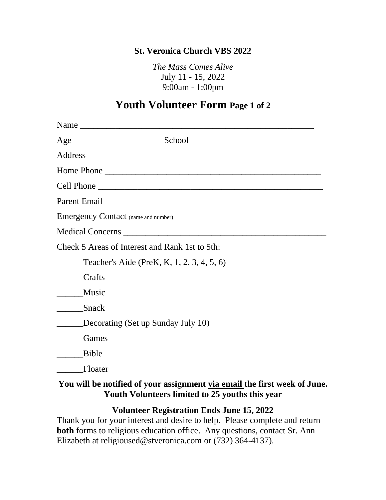### **St. Veronica Church VBS 2022**

*The Mass Comes Alive* July 11 - 15, 2022 9:00am - 1:00pm

# **Youth Volunteer Form Page 1 of 2**

| Home Phone                                                                                                                   |
|------------------------------------------------------------------------------------------------------------------------------|
|                                                                                                                              |
|                                                                                                                              |
|                                                                                                                              |
|                                                                                                                              |
| Check 5 Areas of Interest and Rank 1st to 5th:                                                                               |
| Teacher's Aide (PreK, K, 1, 2, 3, 4, 5, 6)                                                                                   |
| _______Crafts                                                                                                                |
| _______Music                                                                                                                 |
| _________Snack                                                                                                               |
| <b>Example 10</b> Decorating (Set up Sunday July 10)                                                                         |
| Games                                                                                                                        |
| Bible                                                                                                                        |
| Floater                                                                                                                      |
| You will be notified of your assignment via email the first week of June.<br>Youth Volunteers limited to 25 youths this year |

### **Volunteer Registration Ends June 15, 2022**

Thank you for your interest and desire to help. Please complete and return **both** forms to religious education office. Any questions, contact Sr. Ann Elizabeth at religioused@stveronica.com or (732) 364-4137).